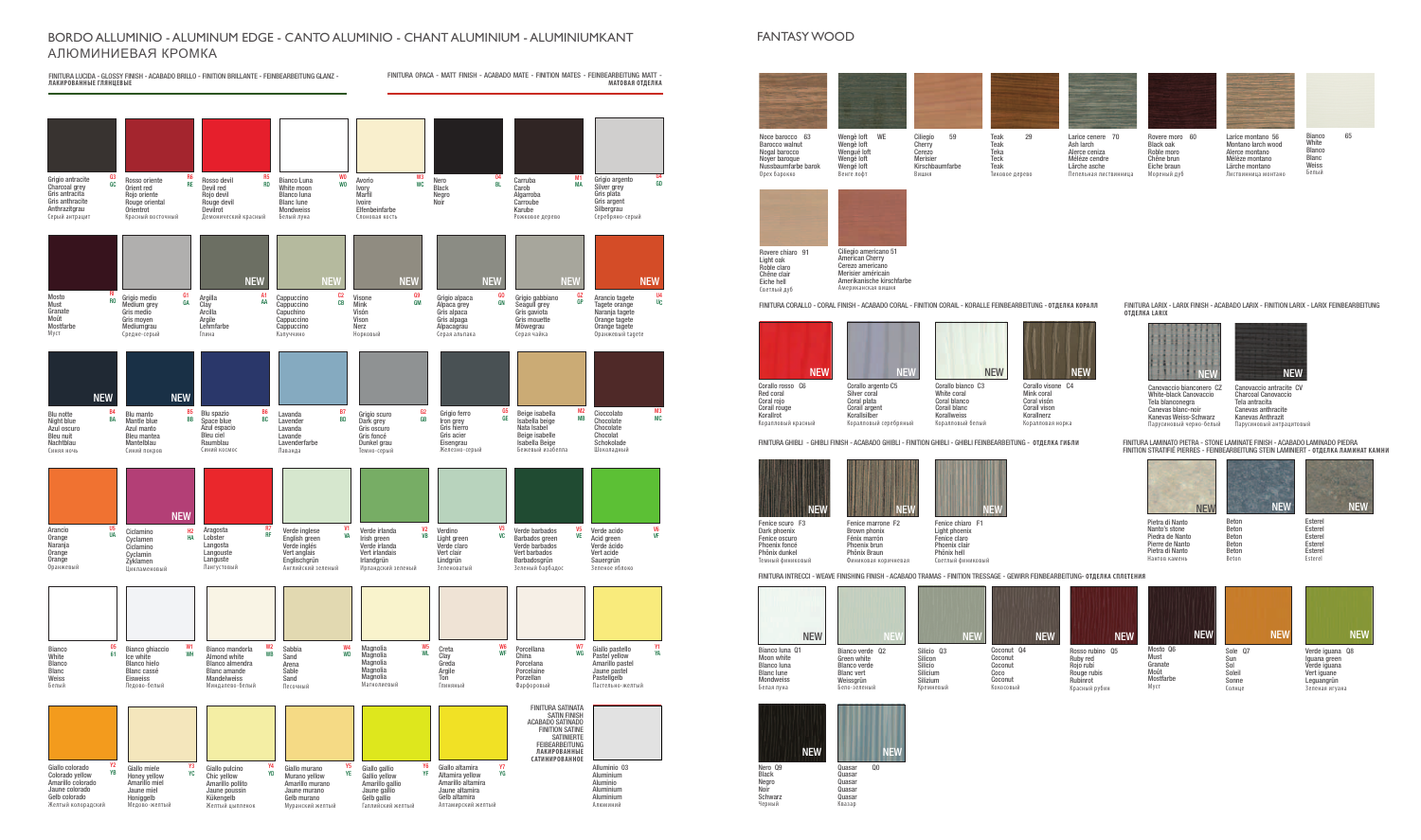## BORDO ALLUMINIO - ALUMINUM EDGE - CANTO ALUMINIO - CHANT ALUMINIUM - ALUMINIUMKANT АЛЮМИНИЕВАЯ КРОМКА

**Must** Granate Moût Mostfarbe Муст



Fenice marrone F2 Brown phonix Fénix marrón Phoenix brun NEW NEW NEW NEW

FINITURA OPACA - MATT FINISH - ACABADO MATE - FINITION MATES - FEINBEARBEITUNG MATT - **МАТОВАЯ ОТДЕЛКА** FINITURA LUCIDA - GLOSSY FINISH - ACABADO BRILLO - FINITION BRILLANTE - FEINBEARBEITUNG GLANZ - **ЛАКИРОВАННЫЕ ГЛЯНЦЕВЫЕ** Grigio antracite Charcoal grey Gris antracita Gris anthracite Anthrazitgrau Серый антрацит Blu spazio Space blue Azul espacio Bleu ciel Raumblau Синий космос Magnolia Magnolia **Magnolia** Magnolia Magnolia Маг Grigio medio Medium grey Gris medio Gris moyen **Mediumgrau** Средне-серый Verde inglese English green Verde inglés Vert anglais Englischgrün Английский зеленый Giallo altamira Altamira yellow Amarillo altamira Jaune altamira Gelb altamira Алтамирский желтый Rosso oriente Orient red Rojo oriente Rouge oriental Orientrot Красный вост Lavanda **Lavender** Lavanda **Lavande Lavenderfarbe** Лаванда Creta Clay Greda Argile Ton Глиняный Argilla Clay Arcilla Argile Lehmfarbe Глина Verde irlanda Irish green Verde irlanda Vert irlandais Irlandgrün Ирландский зеленый Cappuccino Cappuccino **Capuchino Cappuccino Cappuccino** Капуччино Verdino Light green Verde claro Vert clair Lindgrün Зеленоватый Visone **Mink** Visón Vison Nerz Норковый Verde barbados Barbados green Verde barbados Vert barbados Barbadosgrün Зеленый барбадос Grigio alpaca Alpaca grey Gris alpaca Gris alpaga Alpacagrau Серая альпака Verde acido Acid green Verde ácido Vert acide Sauergrün Зеленое яблоко Grigio gabbiano Seagull grey Gris gaviota Gris mouette Möwegrau Серая чайка **Bianco White** Blanco Blanc Weiss Белый Arancio tagete Tagete orange Naranja tagete Orange tagete Orange tagete Оранжевый tagete Bianco ghiaccio Ice white Blanco hielo Blanc cassé Eisweiss Ледово-белый Blu notte Night blue Azul oscuro Bleu nuit **Nachtblau** Синяя ночь Bianco mandorla Almond white Blanco almendra Blanc amande Mandelweiss Миндалево-белый Blu manto Mantle blue Azul manto Bleu mantea **Mantelblau** Синий покров Sabbia Sand Arena **Sable** Sand Песочный Alluminio 03 Aluminium Aluminio Aluminium Aluminium Алюминий Rosso devil Devil red Rojo devil Rouge devil Devilrot Демонический красный Grigio scuro Dark grey Gris oscuro Gris foncé Dunkel grau Темно-серый Porcellana China Porcelana Porcelaine Porzellan Фарфоровый Bianco Luna White moon **Blanco luna** Blanc lune **Mondweiss** Белый луна Grigio ferro Iron grey Gris hierro Gris acier Eisengrau Железно-серый Giallo pastello Pastel yellow Amarillo pastel Jaune pastel Pastellgelb Пастельно-желтый Avorio Ivory **Marfil** Ivoire Elfenbeinfarbe Слоновая кость Beige isabella Isabella beige Nata Isabel Beige isabelle Isabella Beige Бежевый изабелла Giallo colorado Colorado yellow Amarillo colorado Jaune colorado Gelb colorado Желтый колорадский Nero **Black** Negro Noir Cioccolato Chocolate Chocolate Chocolat **Schokolade** Шоколадный Giallo miele Honey yellow Amarillo miel Jaune miel **Honiggelb** Медово-желтый Carruba **Carob** Algarroba **Carroube** Karube Рожковое дерево Arancio **Orange** Naranja Orange Orange Оранжевый Giallo pulcino Chic yellow Amarillo pollito Jaune poussin Kükengelb Желтый цыпленок Grigio argento Silver grey Gris plata Gris argent Silbergrau Серебряно-серый Giallo murano Murano yellow Amarillo murano Jaune murano Gelb murano Муранский желтый Mosto Must Granate Moût **Mostfarbe** Муст Aragosta Lobster Langosta Langouste Languste Лангустовый Giallo gallio Gallio yellow Amarillo gallio Jaune gallio Gelb gallio Галлийский желтый FINITURA SATINATA SATIN FINISH ACABADO SATINADO FINITION SATINE SATINIERTE **FEIBEARBEITUNG ЛАКИРОВАННЫЕ САТИНИРОВАННОЕ** NEW NEW NEW NEW NEW NEW **NEW NEW** G3 GC R6 RE R5 RD W0 WO W3 **WC** 04 BL M1 MA G4 GD RI RO G1 GA A1 AA C2 CB G9 GM GO GN GZ GP B4 BA B5 BB B6 BC B7 BD G2 GB G5 GE M2 MB M3 MC U5  $\overline{110}$ R7 RF V1 **VA** V2 VB V3 VC V5 VE V6 VF 05 61 W1 WH W2 WB W4 **WD** W5 **WI** W6 WF W7 WG Y1 **VA** Y2 YB Y3 YC Y4 YD Y5 YE Y6 YF Y7 YG Ciclamino **Cyclamen Ciclamino** Cyclamin **Zyklamen** Цикламеновый H2 HA NEW NEW NEW NEW NEW NEW NEW NEW U4 UC Орех барокко Moon white Blanco luna Blanc lune Mondweiss Nero Q9 **Black** Negro Noir **Schwarz** Черный

NEW NEW NEW NEW NEW



Noce barocco 63 Barocco walnut Nogal barocco Noyer baroque Nussbaumfarbe barok





Ciliegio americano 51 American Cherry Cerezo americano Merisier américain Amerikanische kirschfarbe Американская вишня

Rovere chiaro 91

Light oak Roble claro Chêne clair Eiche hell Светлый дуб

## FANTASY WOOD

Fenice scuro F3 Dark phoenix Fenice oscuro Phoenix foncé Phönix dunkel Темный финиковый

Phönix Braun

Canovaccio bianconero CZ White-black Canovaccio Canevas blanc-noir Kanevas Weiss-Schwarz Парусиновый черно-белый





Финиковая коричневая Phoenix clair Phönix hell Светлый финиковый

Corallo argento C5 Silver coral Coral plata Corail argent Korallsilhe Коралловый серебряный

Corallo rosso C6 Red coral Coral rojo Corail rouge Korallrot Коралловый красный



Fenice chiaro F1 Light phoenix Fenice claro

Tela blanconegra NEW NEW NEW



Canovaccio antracite CV Charcoal Canovaccio Tela antracita Canevas anthracite Kanevas Anthrazit Парусиновый антрацитовый



Mink coral Coral visón Corail vison Korallnerz Коралловая норка

FINITURA GHIBLI - GHIBLI FINISH - ACABADO GHIBLI - FINITION GHIBLI - GHIBLI FEINBEARBEITUNG - **ОТДЕЛКА ГИБЛИ**



FINITURA LARIX - LARIX FINISH - ACABADO LARIX - FINITION LARIX - LARIX FEINBEARBEITUNG

**ОТДЕЛКА LARIX**

FINITURA CORALLO - CORAL FINISH - ACABADO CORAL - FINITION CORAIL - KORALLE FEINBEARBEITUNG - **ОТДЕЛКА КОРАЛЛ**







Sol Soleil Sonne Солнце

Silicio Silicium **Silizium** Кремневый



Bianco verde Q2 Green white Blanco verde Blanc vert Weissarün Бело-зеленый

Rosso rubino Q5 Ruby red Rojo rubí Rouge rubis Rubinrot Красный рубин



Белая луна







Iguana green Verde iguana Vert iguane Leguangrün Зеленая игуана

Quasar Q0 Quasar **Quasar** Quasar **Quasar** Квазар

- -

Coco Coconut Кокосовый

FINITURA INTRECCI - WEAVE FINISHING FINISH - ACABADO TRAMAS - FINITION TRESSAGE - GEWIRR FEINBEARBEITUNG- **ОТДЕЛКА СПЛЕТЕНИЯ**



FINITURA LAMINATO PIETRA - STONE LAMINATE FINISH - ACABADO LAMINADO PIEDRA FINITION STRATIFIÉ PIERRES - FEINBEARBEITUNG STEIN LAMINIERT - **ОТДЕЛКА ЛАМИНАТ КАМНИ**

Beton Beton Beton Beton Beton Beton

Esterel Esterel Esterel Esterel Esterel Esterel

Pietra di Nanto Nanto's stone Piedra de Nanto Pierre de Nanto Pietra di Nanto Нантов камень